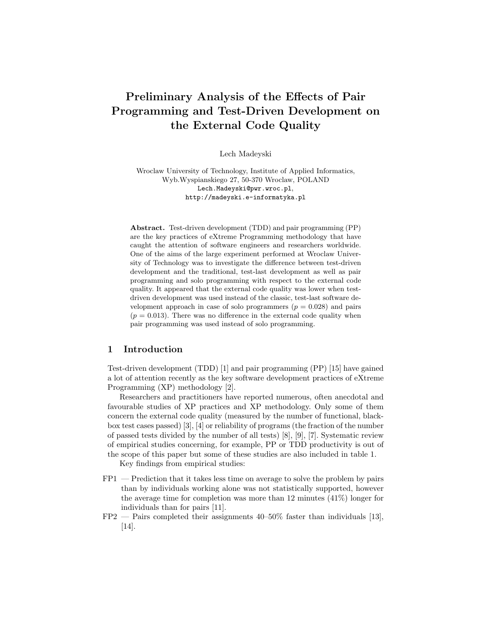# Preliminary Analysis of the Effects of Pair Programming and Test-Driven Development on the External Code Quality

Lech Madeyski

Wroclaw University of Technology, Institute of Applied Informatics, Wyb.Wyspianskiego 27, 50-370 Wroclaw, POLAND Lech.Madeyski@pwr.wroc.pl, http://madeyski.e-informatyka.pl

Abstract. Test-driven development (TDD) and pair programming (PP) are the key practices of eXtreme Programming methodology that have caught the attention of software engineers and researchers worldwide. One of the aims of the large experiment performed at Wroclaw University of Technology was to investigate the difference between test-driven development and the traditional, test-last development as well as pair programming and solo programming with respect to the external code quality. It appeared that the external code quality was lower when testdriven development was used instead of the classic, test-last software development approach in case of solo programmers  $(p = 0.028)$  and pairs  $(p = 0.013)$ . There was no difference in the external code quality when pair programming was used instead of solo programming.

## 1 Introduction

Test-driven development (TDD) [1] and pair programming (PP) [15] have gained a lot of attention recently as the key software development practices of eXtreme Programming (XP) methodology [2].

Researchers and practitioners have reported numerous, often anecdotal and favourable studies of XP practices and XP methodology. Only some of them concern the external code quality (measured by the number of functional, blackbox test cases passed) [3], [4] or reliability of programs (the fraction of the number of passed tests divided by the number of all tests) [8], [9], [7]. Systematic review of empirical studies concerning, for example, PP or TDD productivity is out of the scope of this paper but some of these studies are also included in table 1.

Key findings from empirical studies:

- FP1 Prediction that it takes less time on average to solve the problem by pairs than by individuals working alone was not statistically supported, however the average time for completion was more than 12 minutes (41%) longer for individuals than for pairs [11].
- $FP2$  Pairs completed their assignments 40–50% faster than individuals [13], [14].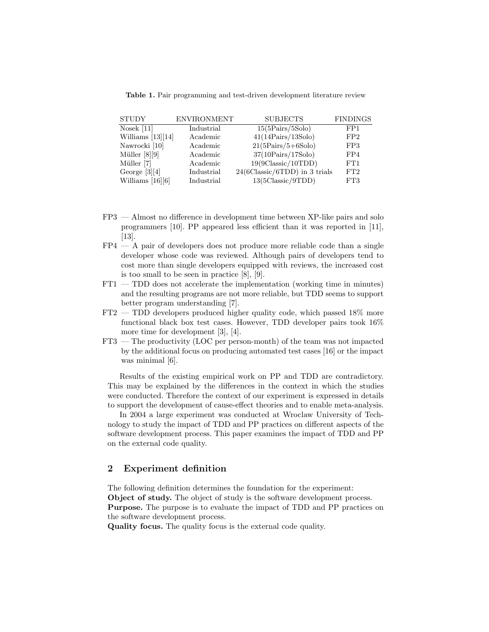Table 1. Pair programming and test-driven development literature review

| <b>STUDY</b>        | <b>ENVIRONMENT</b> | <b>SUBJECTS</b>                        | <b>FINDINGS</b> |
|---------------------|--------------------|----------------------------------------|-----------------|
| Nosek $[11]$        | Industrial         | $15(5\text{Pairs}/5\text{Solo})$       | FP1             |
| Williams $[13][14]$ | Academic           | $41(14 \text{Pairs}/13 \text{Solo})$   | FP2             |
| Nawrocki [10]       | Academic           | $21(5 \text{Pairs}/5 + 6 \text{Solo})$ | FP3             |
| Müller $[8][9]$     | Academic           | $37(10 \text{Pairs}/17 \text{Solo})$   | FP4             |
| Müller [7]          | Academic           | $19(9Classic/10TDD)$                   | FT1             |
| George $[3][4]$     | Industrial         | $24(6Classic/6TDD)$ in 3 trials        | FT2             |
| Williams $[16][6]$  | Industrial         | 13(5Classic/9TDD)                      | FT3             |

- FP3 Almost no difference in development time between XP-like pairs and solo programmers [10]. PP appeared less efficient than it was reported in [11], [13].
- $FP4 A$  pair of developers does not produce more reliable code than a single developer whose code was reviewed. Although pairs of developers tend to cost more than single developers equipped with reviews, the increased cost is too small to be seen in practice [8], [9].
- FT1 TDD does not accelerate the implementation (working time in minutes) and the resulting programs are not more reliable, but TDD seems to support better program understanding [7].
- FT2 TDD developers produced higher quality code, which passed 18% more functional black box test cases. However, TDD developer pairs took 16% more time for development [3], [4].
- FT3 The productivity (LOC per person-month) of the team was not impacted by the additional focus on producing automated test cases [16] or the impact was minimal [6].

Results of the existing empirical work on PP and TDD are contradictory. This may be explained by the differences in the context in which the studies were conducted. Therefore the context of our experiment is expressed in details to support the development of cause-effect theories and to enable meta-analysis.

In 2004 a large experiment was conducted at Wroclaw University of Technology to study the impact of TDD and PP practices on different aspects of the software development process. This paper examines the impact of TDD and PP on the external code quality.

# 2 Experiment definition

The following definition determines the foundation for the experiment:

Object of study. The object of study is the software development process. Purpose. The purpose is to evaluate the impact of TDD and PP practices on the software development process.

Quality focus. The quality focus is the external code quality.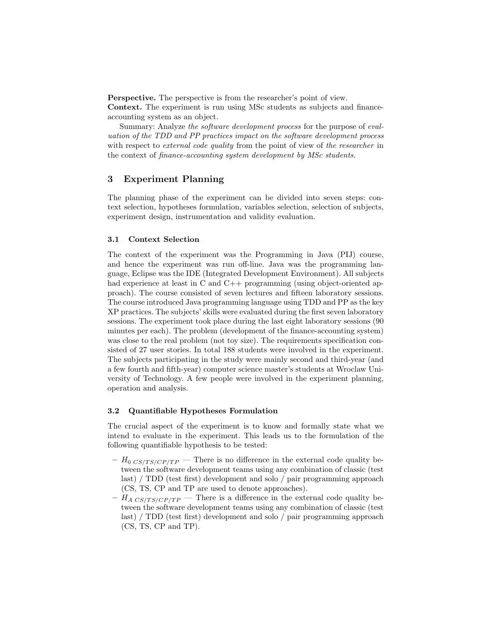Perspective. The perspective is from the researcher's point of view.

Context. The experiment is run using MSc students as subjects and financeaccounting system as an object.

Summary: Analyze the software development process for the purpose of evaluation of the TDD and PP practices impact on the software development process with respect to *external code quality* from the point of view of the researcher in the context of finance-accounting system development by MSc students.

# 3 Experiment Planning

The planning phase of the experiment can be divided into seven steps: context selection, hypotheses formulation, variables selection, selection of subjects, experiment design, instrumentation and validity evaluation.

#### 3.1 Context Selection

The context of the experiment was the Programming in Java (PIJ) course, and hence the experiment was run off-line. Java was the programming language, Eclipse was the IDE (Integrated Development Environment). All subjects had experience at least in C and C++ programming (using object-oriented approach). The course consisted of seven lectures and fifteen laboratory sessions. The course introduced Java programming language using TDD and PP as the key XP practices. The subjects' skills were evaluated during the first seven laboratory sessions. The experiment took place during the last eight laboratory sessions (90 minutes per each). The problem (development of the finance-accounting system) was close to the real problem (not toy size). The requirements specification consisted of 27 user stories. In total 188 students were involved in the experiment. The subjects participating in the study were mainly second and third-year (and a few fourth and fifth-year) computer science master's students at Wroclaw University of Technology. A few people were involved in the experiment planning, operation and analysis.

#### 3.2 Quantifiable Hypotheses Formulation

The crucial aspect of the experiment is to know and formally state what we intend to evaluate in the experiment. This leads us to the formulation of the following quantifiable hypothesis to be tested:

- $H_{0}$  CS/TS/CP/TP There is no difference in the external code quality between the software development teams using any combination of classic (test last) / TDD (test first) development and solo / pair programming approach (CS, TS, CP and TP are used to denote approaches).
- $H_{A \, CS/TS/CP/TP}$  There is a difference in the external code quality between the software development teams using any combination of classic (test last) / TDD (test first) development and solo / pair programming approach (CS, TS, CP and TP).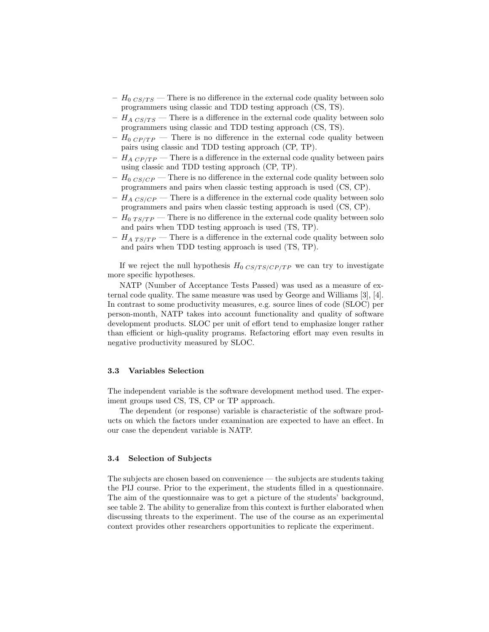- $H_0$   $_{CS/TS}$  There is no difference in the external code quality between solo programmers using classic and TDD testing approach (CS, TS).
- $H_{A\;CS/TS}$  There is a difference in the external code quality between solo programmers using classic and TDD testing approach (CS, TS).
- $H_{0}$   $_{CP/TP}$  There is no difference in the external code quality between pairs using classic and TDD testing approach (CP, TP).
- $H_{A\ CP/TP}$  There is a difference in the external code quality between pairs using classic and TDD testing approach (CP, TP).
- $H_0 \, \text{C} \, \text{C} \, \text{C} \, \text{C} \, \text{C} \, \text{D}$  There is no difference in the external code quality between solo programmers and pairs when classic testing approach is used (CS, CP).
- $H_{A\,CS/CP}$  There is a difference in the external code quality between solo programmers and pairs when classic testing approach is used (CS, CP).
- $H_0$   $_{TS/TP}$  There is no difference in the external code quality between solo and pairs when TDD testing approach is used (TS, TP).
- $H_{A T S / T P}$  There is a difference in the external code quality between solo and pairs when TDD testing approach is used (TS, TP).

If we reject the null hypothesis  $H_{0}$  CS/TS/CP/TP we can try to investigate more specific hypotheses.

NATP (Number of Acceptance Tests Passed) was used as a measure of external code quality. The same measure was used by George and Williams [3], [4]. In contrast to some productivity measures, e.g. source lines of code (SLOC) per person-month, NATP takes into account functionality and quality of software development products. SLOC per unit of effort tend to emphasize longer rather than efficient or high-quality programs. Refactoring effort may even results in negative productivity measured by SLOC.

## 3.3 Variables Selection

The independent variable is the software development method used. The experiment groups used CS, TS, CP or TP approach.

The dependent (or response) variable is characteristic of the software products on which the factors under examination are expected to have an effect. In our case the dependent variable is NATP.

#### 3.4 Selection of Subjects

The subjects are chosen based on convenience — the subjects are students taking the PIJ course. Prior to the experiment, the students filled in a questionnaire. The aim of the questionnaire was to get a picture of the students' background, see table 2. The ability to generalize from this context is further elaborated when discussing threats to the experiment. The use of the course as an experimental context provides other researchers opportunities to replicate the experiment.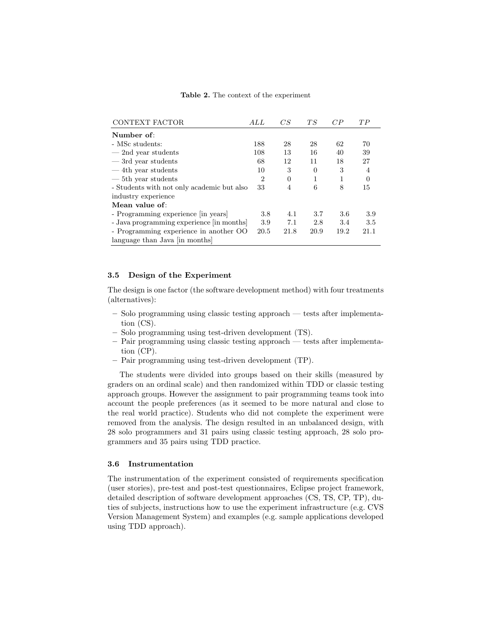| <b>Table 2.</b> The context of the experiment |  |
|-----------------------------------------------|--|
|-----------------------------------------------|--|

| CONTEXT FACTOR                             | ALL            | CS       | TS       | CP   | TP       |
|--------------------------------------------|----------------|----------|----------|------|----------|
| Number of:                                 |                |          |          |      |          |
| - MSc students:                            | 188            | 28       | 28       | 62   | 70       |
| $-2nd$ vear students                       | 108            | 13       | 16       | 40   | 39       |
| $-$ 3rd year students                      | 68             | 12       | 11       | 18   | 27       |
| $-4$ th year students                      | 10             | 3        | $\theta$ | 3    | 4        |
| $-5$ th year students                      | $\overline{2}$ | $\Omega$ | 1        | 1    | $\Omega$ |
| - Students with not only academic but also | 33             | 4        | 6        | 8    | 15       |
| industry experience                        |                |          |          |      |          |
| Mean value of:                             |                |          |          |      |          |
| - Programming experience in years          | 3.8            | 4.1      | 3.7      | 3.6  | 3.9      |
| - Java programming experience [in months]  | 3.9            | 7.1      | 2.8      | 3.4  | 3.5      |
| - Programming experience in another OO     | 20.5           | 21.8     | 20.9     | 19.2 | 21.1     |
| language than Java [in months]             |                |          |          |      |          |

#### 3.5 Design of the Experiment

The design is one factor (the software development method) with four treatments (alternatives):

- Solo programming using classic testing approach tests after implementation (CS).
- Solo programming using test-driven development (TS).
- Pair programming using classic testing approach tests after implementation (CP).
- Pair programming using test-driven development (TP).

The students were divided into groups based on their skills (measured by graders on an ordinal scale) and then randomized within TDD or classic testing approach groups. However the assignment to pair programming teams took into account the people preferences (as it seemed to be more natural and close to the real world practice). Students who did not complete the experiment were removed from the analysis. The design resulted in an unbalanced design, with 28 solo programmers and 31 pairs using classic testing approach, 28 solo programmers and 35 pairs using TDD practice.

#### 3.6 Instrumentation

The instrumentation of the experiment consisted of requirements specification (user stories), pre-test and post-test questionnaires, Eclipse project framework, detailed description of software development approaches (CS, TS, CP, TP), duties of subjects, instructions how to use the experiment infrastructure (e.g. CVS Version Management System) and examples (e.g. sample applications developed using TDD approach).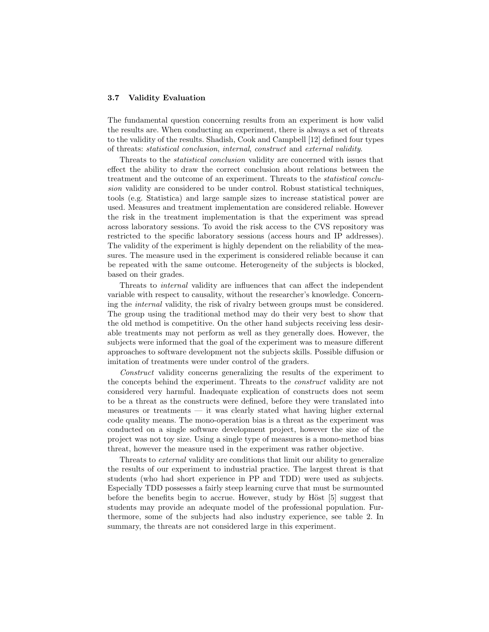#### 3.7 Validity Evaluation

The fundamental question concerning results from an experiment is how valid the results are. When conducting an experiment, there is always a set of threats to the validity of the results. Shadish, Cook and Campbell [12] defined four types of threats: statistical conclusion, internal, construct and external validity.

Threats to the statistical conclusion validity are concerned with issues that effect the ability to draw the correct conclusion about relations between the treatment and the outcome of an experiment. Threats to the statistical conclusion validity are considered to be under control. Robust statistical techniques, tools (e.g. Statistica) and large sample sizes to increase statistical power are used. Measures and treatment implementation are considered reliable. However the risk in the treatment implementation is that the experiment was spread across laboratory sessions. To avoid the risk access to the CVS repository was restricted to the specific laboratory sessions (access hours and IP addresses). The validity of the experiment is highly dependent on the reliability of the measures. The measure used in the experiment is considered reliable because it can be repeated with the same outcome. Heterogeneity of the subjects is blocked, based on their grades.

Threats to internal validity are influences that can affect the independent variable with respect to causality, without the researcher's knowledge. Concerning the internal validity, the risk of rivalry between groups must be considered. The group using the traditional method may do their very best to show that the old method is competitive. On the other hand subjects receiving less desirable treatments may not perform as well as they generally does. However, the subjects were informed that the goal of the experiment was to measure different approaches to software development not the subjects skills. Possible diffusion or imitation of treatments were under control of the graders.

Construct validity concerns generalizing the results of the experiment to the concepts behind the experiment. Threats to the construct validity are not considered very harmful. Inadequate explication of constructs does not seem to be a threat as the constructs were defined, before they were translated into measures or treatments  $-$  it was clearly stated what having higher external code quality means. The mono-operation bias is a threat as the experiment was conducted on a single software development project, however the size of the project was not toy size. Using a single type of measures is a mono-method bias threat, however the measure used in the experiment was rather objective.

Threats to *external* validity are conditions that limit our ability to generalize the results of our experiment to industrial practice. The largest threat is that students (who had short experience in PP and TDD) were used as subjects. Especially TDD possesses a fairly steep learning curve that must be surmounted before the benefits begin to accrue. However, study by Höst  $[5]$  suggest that students may provide an adequate model of the professional population. Furthermore, some of the subjects had also industry experience, see table 2. In summary, the threats are not considered large in this experiment.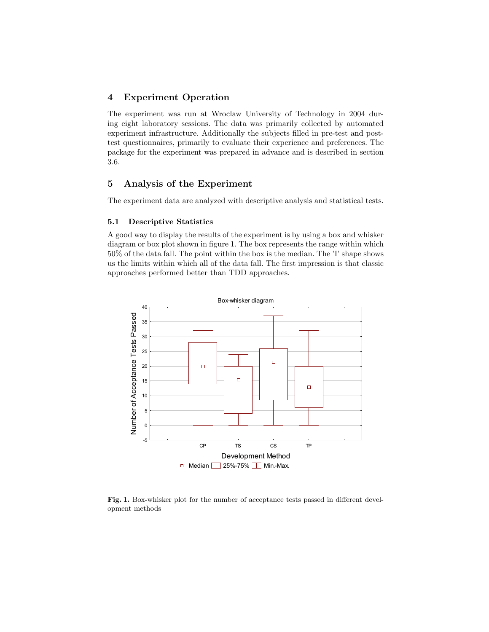# 4 Experiment Operation

The experiment was run at Wroclaw University of Technology in 2004 during eight laboratory sessions. The data was primarily collected by automated experiment infrastructure. Additionally the subjects filled in pre-test and posttest questionnaires, primarily to evaluate their experience and preferences. The package for the experiment was prepared in advance and is described in section 3.6.

# 5 Analysis of the Experiment

The experiment data are analyzed with descriptive analysis and statistical tests.

## 5.1 Descriptive Statistics

A good way to display the results of the experiment is by using a box and whisker diagram or box plot shown in figure 1. The box represents the range within which 50% of the data fall. The point within the box is the median. The 'I' shape shows us the limits within which all of the data fall. The first impression is that classic approaches performed better than TDD approaches.



Fig. 1. Box-whisker plot for the number of acceptance tests passed in different development methods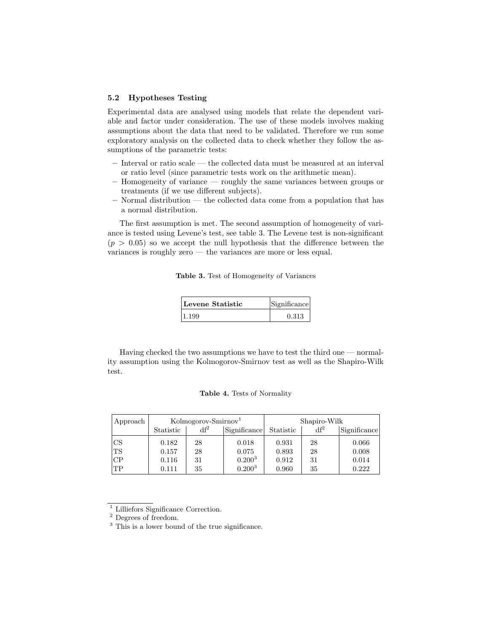#### 5.2 Hypotheses Testing

Experimental data are analysed using models that relate the dependent variable and factor under consideration. The use of these models involves making assumptions about the data that need to be validated. Therefore we run some exploratory analysis on the collected data to check whether they follow the assumptions of the parametric tests:

- Interval or ratio scale the collected data must be measured at an interval or ratio level (since parametric tests work on the arithmetic mean).
- Homogeneity of variance roughly the same variances between groups or treatments (if we use different subjects).
- Normal distribution the collected data come from a population that has a normal distribution.

The first assumption is met. The second assumption of homogeneity of variance is tested using Levene's test, see table 3. The Levene test is non-significant  $(p > 0.05)$  so we accept the null hypothesis that the difference between the variances is roughly zero — the variances are more or less equal.

Table 3. Test of Homogeneity of Variances

| Levene Statistic | Significance |
|------------------|--------------|
| 1.199            | 0.313        |

Having checked the two assumptions we have to test the third one — normality assumption using the Kolmogorov-Smirnov test as well as the Shapiro-Wilk test.

#### Table 4. Tests of Normality

| Approach  | Kolmogorov-Smirnov <sup>1</sup> |        | Shapiro-Wilk |           |        |              |
|-----------|---------------------------------|--------|--------------|-----------|--------|--------------|
|           | Statistic                       | $df^2$ | Significance | Statistic | $df^2$ | Significance |
| <b>CS</b> | 0.182                           | 28     | 0.018        | 0.931     | 28     | 0.066        |
| TS        | 0.157                           | 28     | 0.075        | 0.893     | 28     | 0.008        |
| CP        | 0.116                           | 31     | $0.200^{3}$  | 0.912     | 31     | 0.014        |
| TP        | 0.111                           | 35     | $0.200^{3}$  | 0.960     | 35     | 0.222        |

<sup>1</sup> Lilliefors Significance Correction.

 $^{\rm 2}$  Degrees of freedom.

<sup>&</sup>lt;sup>3</sup> This is a lower bound of the true significance.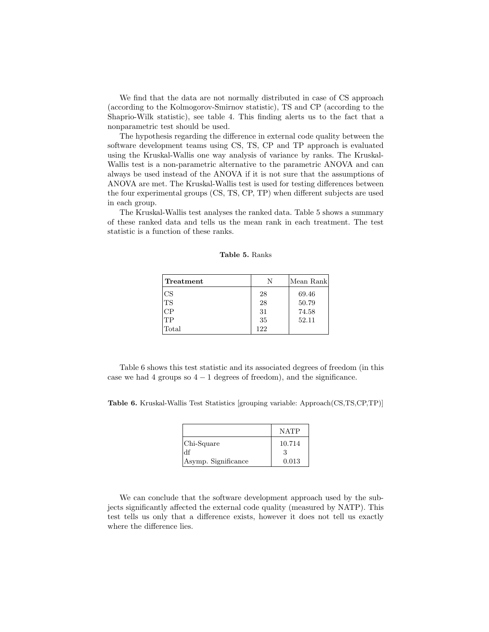We find that the data are not normally distributed in case of CS approach (according to the Kolmogorov-Smirnov statistic), TS and CP (according to the Shaprio-Wilk statistic), see table 4. This finding alerts us to the fact that a nonparametric test should be used.

The hypothesis regarding the difference in external code quality between the software development teams using CS, TS, CP and TP approach is evaluated using the Kruskal-Wallis one way analysis of variance by ranks. The Kruskal-Wallis test is a non-parametric alternative to the parametric ANOVA and can always be used instead of the ANOVA if it is not sure that the assumptions of ANOVA are met. The Kruskal-Wallis test is used for testing differences between the four experimental groups (CS, TS, CP, TP) when different subjects are used in each group.

The Kruskal-Wallis test analyses the ranked data. Table 5 shows a summary of these ranked data and tells us the mean rank in each treatment. The test statistic is a function of these ranks.

| Treatment | N   | Mean Rank |
|-----------|-----|-----------|
| CS        | 28  | 69.46     |
| TS        | 28  | 50.79     |
| CР        | 31  | 74.58     |
| TР        | 35  | 52.11     |
| Total     | 122 |           |

Table 5. Ranks

Table 6 shows this test statistic and its associated degrees of freedom (in this case we had 4 groups so  $4 - 1$  degrees of freedom), and the significance.

Table 6. Kruskal-Wallis Test Statistics [grouping variable: Approach(CS,TS,CP,TP)]

|                     | <b>NATP</b> |
|---------------------|-------------|
| Chi-Square          | 10.714      |
| df                  | з           |
| Asymp. Significance | 0.013       |

We can conclude that the software development approach used by the subjects significantly affected the external code quality (measured by NATP). This test tells us only that a difference exists, however it does not tell us exactly where the difference lies.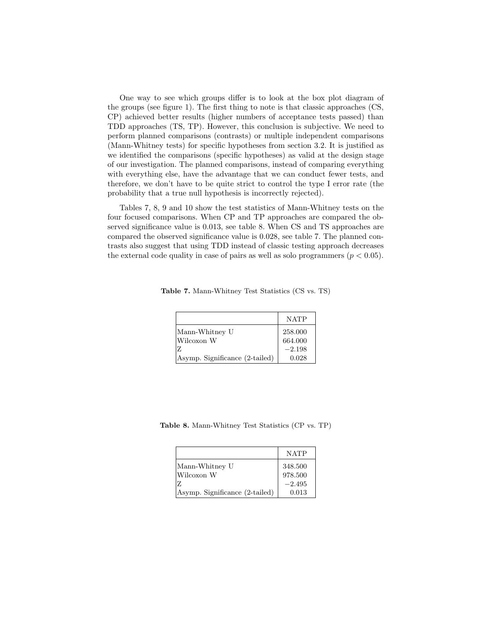One way to see which groups differ is to look at the box plot diagram of the groups (see figure 1). The first thing to note is that classic approaches (CS, CP) achieved better results (higher numbers of acceptance tests passed) than TDD approaches (TS, TP). However, this conclusion is subjective. We need to perform planned comparisons (contrasts) or multiple independent comparisons (Mann-Whitney tests) for specific hypotheses from section 3.2. It is justified as we identified the comparisons (specific hypotheses) as valid at the design stage of our investigation. The planned comparisons, instead of comparing everything with everything else, have the advantage that we can conduct fewer tests, and therefore, we don't have to be quite strict to control the type I error rate (the probability that a true null hypothesis is incorrectly rejected).

Tables 7, 8, 9 and 10 show the test statistics of Mann-Whitney tests on the four focused comparisons. When CP and TP approaches are compared the observed significance value is 0.013, see table 8. When CS and TS approaches are compared the observed significance value is 0.028, see table 7. The planned contrasts also suggest that using TDD instead of classic testing approach decreases the external code quality in case of pairs as well as solo programmers ( $p < 0.05$ ).

Table 7. Mann-Whitney Test Statistics (CS vs. TS)

|                                | <b>NATP</b> |
|--------------------------------|-------------|
| Mann-Whitney U                 | 258.000     |
| Wilcoxon W                     | 664.000     |
| 17.                            | $-2.198$    |
| Asymp. Significance (2-tailed) | 0.028       |

Table 8. Mann-Whitney Test Statistics (CP vs. TP)

|                                | <b>NATP</b> |
|--------------------------------|-------------|
| Mann-Whitney U                 | 348.500     |
| Wilcoxon W                     | 978.500     |
| z                              | $-2.495$    |
| Asymp. Significance (2-tailed) | 0.013       |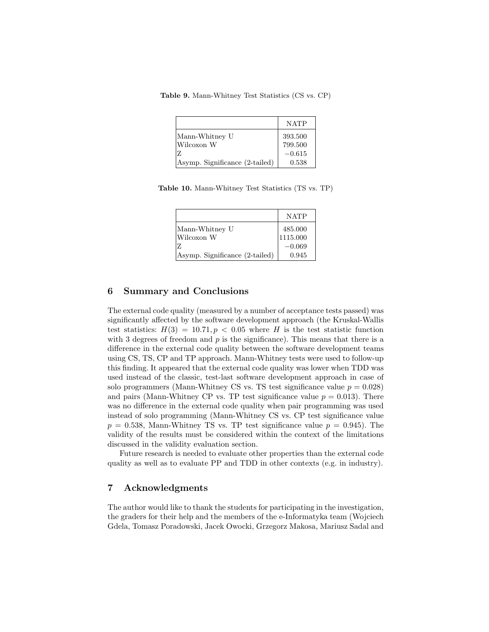|  | Table 9. Mann-Whitney Test Statistics (CS vs. CP) |  |  |  |
|--|---------------------------------------------------|--|--|--|
|--|---------------------------------------------------|--|--|--|

|                                | <b>NATP</b> |
|--------------------------------|-------------|
| Mann-Whitney U                 | 393.500     |
| Wilcoxon W                     | 799.500     |
| 17.                            | $-0.615$    |
| Asymp. Significance (2-tailed) | 0.538       |

Table 10. Mann-Whitney Test Statistics (TS vs. TP)

|                                | <b>NATP</b>                                         |
|--------------------------------|-----------------------------------------------------|
| Mann-Whitney U                 | $\begin{array}{ l} 485.000 \\ 1115.000 \end{array}$ |
| Wilcoxon W                     |                                                     |
| 7.                             | $-0.069$                                            |
| Asymp. Significance (2-tailed) | 0.945                                               |

# 6 Summary and Conclusions

The external code quality (measured by a number of acceptance tests passed) was significantly affected by the software development approach (the Kruskal-Wallis test statistics:  $H(3) = 10.71, p < 0.05$  where H is the test statistic function with 3 degrees of freedom and  $p$  is the significance). This means that there is a difference in the external code quality between the software development teams using CS, TS, CP and TP approach. Mann-Whitney tests were used to follow-up this finding. It appeared that the external code quality was lower when TDD was used instead of the classic, test-last software development approach in case of solo programmers (Mann-Whitney CS vs. TS test significance value  $p = 0.028$ ) and pairs (Mann-Whitney CP vs. TP test significance value  $p = 0.013$ ). There was no difference in the external code quality when pair programming was used instead of solo programming (Mann-Whitney CS vs. CP test significance value  $p = 0.538$ , Mann-Whitney TS vs. TP test significance value  $p = 0.945$ . The validity of the results must be considered within the context of the limitations discussed in the validity evaluation section.

Future research is needed to evaluate other properties than the external code quality as well as to evaluate PP and TDD in other contexts (e.g. in industry).

# 7 Acknowledgments

The author would like to thank the students for participating in the investigation, the graders for their help and the members of the e-Informatyka team (Wojciech Gdela, Tomasz Poradowski, Jacek Owocki, Grzegorz Makosa, Mariusz Sadal and